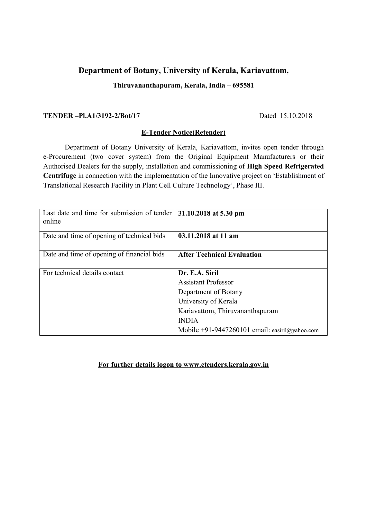# Department of Botany, University of Kerala, Kariavattom,

## Thiruvananthapuram, Kerala, India – 695581

### TENDER –Pl.A1/3192-2/Bot/17 Dated 15.10.2018

## E-Tender Notice(Retender)

 Department of Botany University of Kerala, Kariavattom, invites open tender through e-Procurement (two cover system) from the Original Equipment Manufacturers or their Authorised Dealers for the supply, installation and commissioning of High Speed Refrigerated Centrifuge in connection with the implementation of the Innovative project on 'Establishment of Translational Research Facility in Plant Cell Culture Technology', Phase III.

| Last date and time for submission of tender<br>online | 31.10.2018 at 5.30 pm                          |
|-------------------------------------------------------|------------------------------------------------|
| Date and time of opening of technical bids            | 03.11.2018 at 11 am                            |
| Date and time of opening of financial bids            | <b>After Technical Evaluation</b>              |
| For technical details contact                         | Dr. E.A. Siril                                 |
|                                                       | <b>Assistant Professor</b>                     |
|                                                       | Department of Botany                           |
|                                                       | University of Kerala                           |
|                                                       | Kariavattom, Thiruvananthapuram                |
|                                                       | <b>INDIA</b>                                   |
|                                                       | Mobile +91-9447260101 email: easiril@yahoo.com |

## For further details logon to www.etenders.kerala.gov.in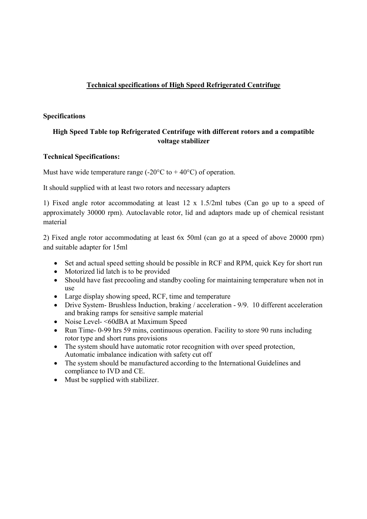# Technical specifications of High Speed Refrigerated Centrifuge

### Specifications

# High Speed Table top Refrigerated Centrifuge with different rotors and a compatible voltage stabilizer

### Technical Specifications:

Must have wide temperature range  $(-20^{\circ}C \text{ to } + 40^{\circ}C)$  of operation.

It should supplied with at least two rotors and necessary adapters

1) Fixed angle rotor accommodating at least 12 x 1.5/2ml tubes (Can go up to a speed of approximately 30000 rpm). Autoclavable rotor, lid and adaptors made up of chemical resistant material

2) Fixed angle rotor accommodating at least 6x 50ml (can go at a speed of above 20000 rpm) and suitable adapter for 15ml

- Set and actual speed setting should be possible in RCF and RPM, quick Key for short run
- Motorized lid latch is to be provided
- Should have fast precooling and standby cooling for maintaining temperature when not in use
- Large display showing speed, RCF, time and temperature
- Drive System- Brushless Induction, braking / acceleration 9/9. 10 different acceleration and braking ramps for sensitive sample material
- Noise Level- <60dBA at Maximum Speed
- Run Time- 0-99 hrs 59 mins, continuous operation. Facility to store 90 runs including rotor type and short runs provisions
- The system should have automatic rotor recognition with over speed protection, Automatic imbalance indication with safety cut off
- The system should be manufactured according to the International Guidelines and compliance to IVD and CE.
- Must be supplied with stabilizer.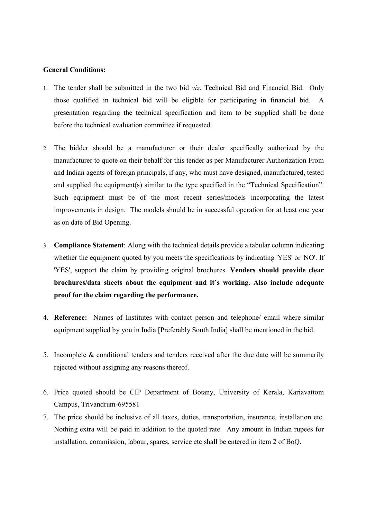#### General Conditions:

- 1. The tender shall be submitted in the two bid viz. Technical Bid and Financial Bid. Only those qualified in technical bid will be eligible for participating in financial bid. A presentation regarding the technical specification and item to be supplied shall be done before the technical evaluation committee if requested.
- 2. The bidder should be a manufacturer or their dealer specifically authorized by the manufacturer to quote on their behalf for this tender as per Manufacturer Authorization From and Indian agents of foreign principals, if any, who must have designed, manufactured, tested and supplied the equipment(s) similar to the type specified in the "Technical Specification". Such equipment must be of the most recent series/models incorporating the latest improvements in design. The models should be in successful operation for at least one year as on date of Bid Opening.
- 3. Compliance Statement: Along with the technical details provide a tabular column indicating whether the equipment quoted by you meets the specifications by indicating 'YES' or 'NO'. If 'YES', support the claim by providing original brochures. Venders should provide clear brochures/data sheets about the equipment and it's working. Also include adequate proof for the claim regarding the performance.
- 4. Reference: Names of Institutes with contact person and telephone/ email where similar equipment supplied by you in India [Preferably South India] shall be mentioned in the bid.
- 5. Incomplete & conditional tenders and tenders received after the due date will be summarily rejected without assigning any reasons thereof.
- 6. Price quoted should be CIP Department of Botany, University of Kerala, Kariavattom Campus, Trivandrum-695581
- 7. The price should be inclusive of all taxes, duties, transportation, insurance, installation etc. Nothing extra will be paid in addition to the quoted rate. Any amount in Indian rupees for installation, commission, labour, spares, service etc shall be entered in item 2 of BoQ.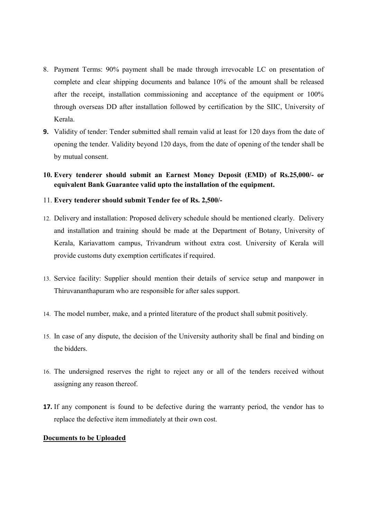- 8. Payment Terms: 90% payment shall be made through irrevocable LC on presentation of complete and clear shipping documents and balance 10% of the amount shall be released after the receipt, installation commissioning and acceptance of the equipment or 100% through overseas DD after installation followed by certification by the SIIC, University of Kerala.
- 9. Validity of tender: Tender submitted shall remain valid at least for 120 days from the date of opening the tender. Validity beyond 120 days, from the date of opening of the tender shall be by mutual consent.
- 10. Every tenderer should submit an Earnest Money Deposit (EMD) of Rs.25,000/- or equivalent Bank Guarantee valid upto the installation of the equipment.
- 11. Every tenderer should submit Tender fee of Rs. 2,500/-
- 12. Delivery and installation: Proposed delivery schedule should be mentioned clearly. Delivery and installation and training should be made at the Department of Botany, University of Kerala, Kariavattom campus, Trivandrum without extra cost. University of Kerala will provide customs duty exemption certificates if required.
- 13. Service facility: Supplier should mention their details of service setup and manpower in Thiruvananthapuram who are responsible for after sales support.
- 14. The model number, make, and a printed literature of the product shall submit positively.
- 15. In case of any dispute, the decision of the University authority shall be final and binding on the bidders.
- 16. The undersigned reserves the right to reject any or all of the tenders received without assigning any reason thereof.
- 17. If any component is found to be defective during the warranty period, the vendor has to replace the defective item immediately at their own cost.

#### Documents to be Uploaded